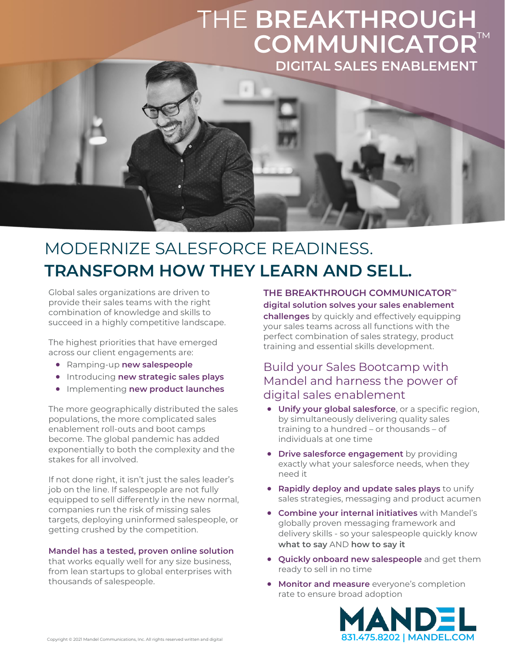## THE **BREAKTHROUGH COMMUNICATOR** ™**DIGITAL SALES ENABLEMENT**



### MODERNIZE SALESFORCE READINESS. **TRANSFORM HOW THEY LEARN AND SELL.**

Global sales organizations are driven to provide their sales teams with the right combination of knowledge and skills to succeed in a highly competitive landscape.

The highest priorities that have emerged across our client engagements are:

- Ramping-up **new salespeople**
- Introducing **new strategic sales plays**
- Implementing **new product launches**

The more geographically distributed the sales populations, the more complicated sales enablement roll-outs and boot camps become. The global pandemic has added exponentially to both the complexity and the stakes for all involved.

If not done right, it isn't just the sales leader's job on the line. If salespeople are not fully equipped to sell differently in the new normal, companies run the risk of missing sales targets, deploying uninformed salespeople, or getting crushed by the competition.

#### **Mandel has a tested, proven online solution**

that works equally well for any size business, from lean startups to global enterprises with thousands of salespeople.

**THE BREAKTHROUGH COMMUNICATOR™ digital solution solves your sales enablement challenges** by quickly and effectively equipping your sales teams across all functions with the

perfect combination of sales strategy, product training and essential skills development.

### Build your Sales Bootcamp with Mandel and harness the power of digital sales enablement

- **Unify your global salesforce**, or a specific region, by simultaneously delivering quality sales training to a hundred – or thousands – of individuals at one time
- **Drive salesforce engagement** by providing exactly what your salesforce needs, when they need it
- **Rapidly deploy and update sales plays** to unify sales strategies, messaging and product acumen
- **Combine your internal initiatives** with Mandel's globally proven messaging framework and delivery skills - so your salespeople quickly know **what to say** AND **how to say it**
- **Quickly onboard new salespeople** and get them ready to sell in no time
- **Monitor and measure** everyone's completion rate to ensure broad adoption